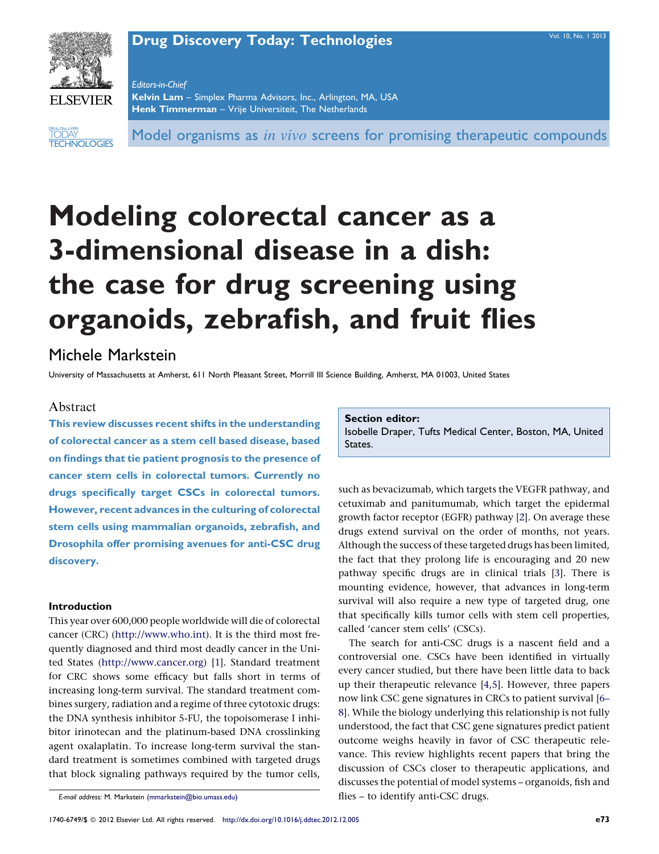# **Drug Discovery Today: [Technologies](http://dx.doi.org/10.1016/j.ddtec.2012.12.005)** Vol. 10, No. 1 [2013](http://dx.doi.org/10.1016/j.ddtec.2012.12.005)



Editors-in-Chief Kelvin Lam – Simplex Pharma Advisors, Inc., Arlington, MA, USA Henk Timmerman - Vrije Universiteit, The Netherlands

**TECHNOLOGIES DRUG DISCOVERY** TODAY

Model organisms as *in vivo* screens for promising therapeutic compounds

# Modeling colorectal cancer as a 3-dimensional disease in a dish: the case for drug screening using organoids, zebrafish, and fruit flies

# Michele Markstein

University of Massachusetts at Amherst, 611 North Pleasant Street, Morrill III Science Building, Amherst, MA 01003, United States

# Abstract

This review discusses recent shifts in the understanding of colorectal cancer as a stem cell based disease, based on findings that tie patient prognosis to the presence of cancer stem cells in colorectal tumors. Currently no drugs specifically target CSCs in colorectal tumors. However, recent advances in the culturing of colorectal stem cells using mammalian organoids, zebrafish, and Drosophila offer promising avenues for anti-CSC drug discovery.

## Introduction

This year over 600,000 people worldwide will die of colorectal cancer (CRC) ([http://www.who.int](http://www.who.int/)). It is the third most frequently diagnosed and third most deadly cancer in the United States [\(http://www.cancer.org](http://www.cancer.org/)) [[1\]](#page-7-0). Standard treatment for CRC shows some efficacy but falls short in terms of increasing long-term survival. The standard treatment combines surgery, radiation and a regime of three cytotoxic drugs: the DNA synthesis inhibitor 5-FU, the topoisomerase I inhibitor irinotecan and the platinum-based DNA crosslinking agent oxalaplatin. To increase long-term survival the standard treatment is sometimes combined with targeted drugs that block signaling pathways required by the tumor cells,

Section editor:

Isobelle Draper, Tufts Medical Center, Boston, MA, United States.

such as bevacizumab, which targets the VEGFR pathway, and cetuximab and panitumumab, which target the epidermal growth factor receptor (EGFR) pathway [[2\]](#page-7-0). On average these drugs extend survival on the order of months, not years. Although the success of these targeted drugs has been limited, the fact that they prolong life is encouraging and 20 new pathway specific drugs are in clinical trials [[3\]](#page-7-0). There is mounting evidence, however, that advances in long-term survival will also require a new type of targeted drug, one that specifically kills tumor cells with stem cell properties, called 'cancer stem cells' (CSCs).

The search for anti-CSC drugs is a nascent field and a controversial one. CSCs have been identified in virtually every cancer studied, but there have been little data to back up their therapeutic relevance [[4,5\]](#page-7-0). However, three papers now link CSC gene signatures in CRCs to patient survival [\[6–](#page-7-0) [8\]](#page-7-0). While the biology underlying this relationship is not fully understood, the fact that CSC gene signatures predict patient outcome weighs heavily in favor of CSC therapeutic relevance. This review highlights recent papers that bring the discussion of CSCs closer to therapeutic applications, and discusses the potential of model systems – organoids, fish and flies – to identify anti-CSC drugs.

E-mail address: M. Markstein [\(mmarkstein@bio.umass.edu\)](mailto:mmarkstein@bio.umass.edu)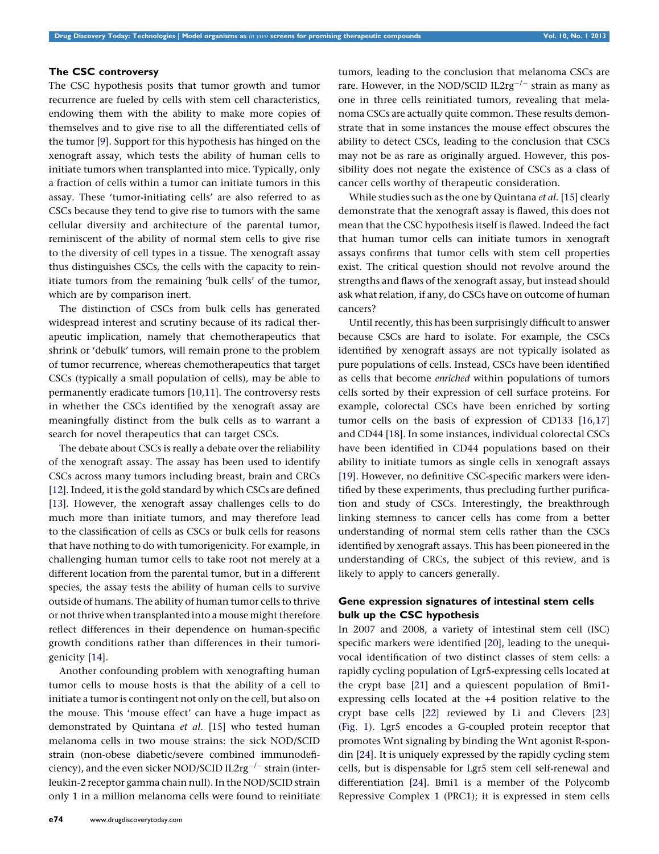# The CSC controversy

The CSC hypothesis posits that tumor growth and tumor recurrence are fueled by cells with stem cell characteristics, endowing them with the ability to make more copies of themselves and to give rise to all the differentiated cells of the tumor [\[9](#page-7-0)]. Support for this hypothesis has hinged on the xenograft assay, which tests the ability of human cells to initiate tumors when transplanted into mice. Typically, only a fraction of cells within a tumor can initiate tumors in this assay. These 'tumor-initiating cells' are also referred to as CSCs because they tend to give rise to tumors with the same cellular diversity and architecture of the parental tumor, reminiscent of the ability of normal stem cells to give rise to the diversity of cell types in a tissue. The xenograft assay thus distinguishes CSCs, the cells with the capacity to reinitiate tumors from the remaining 'bulk cells' of the tumor, which are by comparison inert.

The distinction of CSCs from bulk cells has generated widespread interest and scrutiny because of its radical therapeutic implication, namely that chemotherapeutics that shrink or 'debulk' tumors, will remain prone to the problem of tumor recurrence, whereas chemotherapeutics that target CSCs (typically a small population of cells), may be able to permanently eradicate tumors [\[10,11](#page-7-0)]. The controversy rests in whether the CSCs identified by the xenograft assay are meaningfully distinct from the bulk cells as to warrant a search for novel therapeutics that can target CSCs.

The debate about CSCs is really a debate over the reliability of the xenograft assay. The assay has been used to identify CSCs across many tumors including breast, brain and CRCs [\[12\]](#page-7-0). Indeed, it is the gold standard by which CSCs are defined [\[13\]](#page-7-0). However, the xenograft assay challenges cells to do much more than initiate tumors, and may therefore lead to the classification of cells as CSCs or bulk cells for reasons that have nothing to do with tumorigenicity. For example, in challenging human tumor cells to take root not merely at a different location from the parental tumor, but in a different species, the assay tests the ability of human cells to survive outside of humans. The ability of human tumor cells to thrive or not thrive when transplanted into a mouse might therefore reflect differences in their dependence on human-specific growth conditions rather than differences in their tumorigenicity [[14](#page-7-0)].

Another confounding problem with xenografting human tumor cells to mouse hosts is that the ability of a cell to initiate a tumor is contingent not only on the cell, but also on the mouse. This 'mouse effect' can have a huge impact as demonstrated by Quintana et al. [[15](#page-7-0)] who tested human melanoma cells in two mouse strains: the sick NOD/SCID strain (non-obese diabetic/severe combined immunodeficiency), and the even sicker NOD/SCID IL $2\mathrm{rg}^{-/-}$  strain (interleukin-2 receptor gamma chain null). In the NOD/SCID strain only 1 in a million melanoma cells were found to reinitiate tumors, leading to the conclusion that melanoma CSCs are rare. However, in the NOD/SCID IL2rg $^{-/-}$  strain as many as one in three cells reinitiated tumors, revealing that melanoma CSCs are actually quite common. These results demonstrate that in some instances the mouse effect obscures the ability to detect CSCs, leading to the conclusion that CSCs may not be as rare as originally argued. However, this possibility does not negate the existence of CSCs as a class of cancer cells worthy of therapeutic consideration.

While studies such as the one by Quintana et al. [\[15\]](#page-7-0) clearly demonstrate that the xenograft assay is flawed, this does not mean that the CSC hypothesis itself is flawed. Indeed the fact that human tumor cells can initiate tumors in xenograft assays confirms that tumor cells with stem cell properties exist. The critical question should not revolve around the strengths and flaws of the xenograft assay, but instead should ask what relation, if any, do CSCs have on outcome of human cancers?

Until recently, this has been surprisingly difficult to answer because CSCs are hard to isolate. For example, the CSCs identified by xenograft assays are not typically isolated as pure populations of cells. Instead, CSCs have been identified as cells that become enriched within populations of tumors cells sorted by their expression of cell surface proteins. For example, colorectal CSCs have been enriched by sorting tumor cells on the basis of expression of CD133 [[16,17\]](#page-7-0) and CD44 [\[18\]](#page-7-0). In some instances, individual colorectal CSCs have been identified in CD44 populations based on their ability to initiate tumors as single cells in xenograft assays [[19\]](#page-7-0). However, no definitive CSC-specific markers were identified by these experiments, thus precluding further purification and study of CSCs. Interestingly, the breakthrough linking stemness to cancer cells has come from a better understanding of normal stem cells rather than the CSCs identified by xenograft assays. This has been pioneered in the understanding of CRCs, the subject of this review, and is likely to apply to cancers generally.

# Gene expression signatures of intestinal stem cells bulk up the CSC hypothesis

In 2007 and 2008, a variety of intestinal stem cell (ISC) specific markers were identified [\[20](#page-7-0)], leading to the unequivocal identification of two distinct classes of stem cells: a rapidly cycling population of Lgr5-expressing cells located at the crypt base [\[21](#page-7-0)] and a quiescent population of Bmi1 expressing cells located at the +4 position relative to the crypt base cells [\[22\]](#page-7-0) reviewed by Li and Clevers [[23\]](#page-7-0) ([Fig.](#page-2-0) 1). Lgr5 encodes a G-coupled protein receptor that promotes Wnt signaling by binding the Wnt agonist R-spondin [\[24\]](#page-7-0). It is uniquely expressed by the rapidly cycling stem cells, but is dispensable for Lgr5 stem cell self-renewal and differentiation [[24\]](#page-7-0). Bmi1 is a member of the Polycomb Repressive Complex 1 (PRC1); it is expressed in stem cells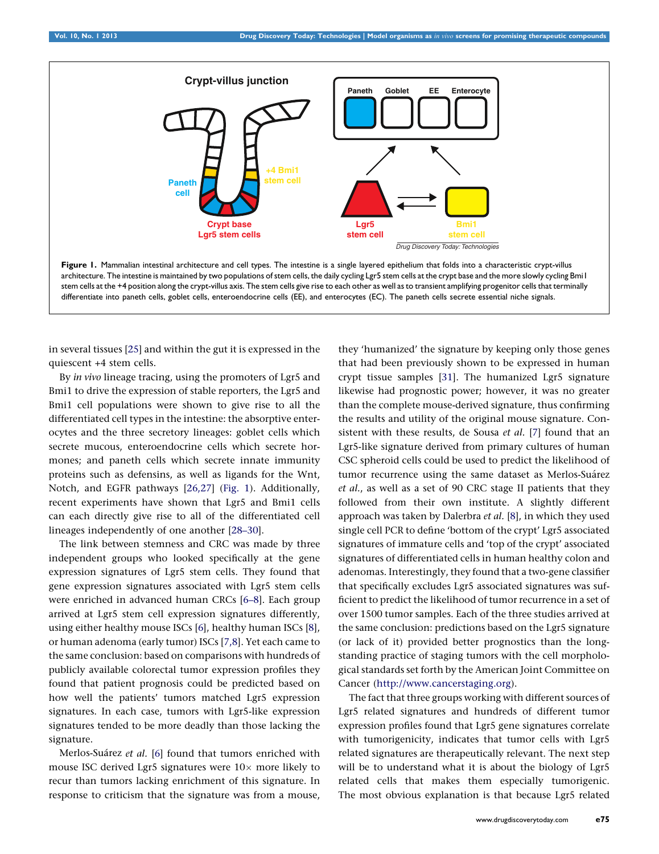<span id="page-2-0"></span>

in several tissues [[25](#page-7-0)] and within the gut it is expressed in the quiescent +4 stem cells.

By in vivo lineage tracing, using the promoters of Lgr5 and Bmi1 to drive the expression of stable reporters, the Lgr5 and Bmi1 cell populations were shown to give rise to all the differentiated cell types in the intestine: the absorptive enterocytes and the three secretory lineages: goblet cells which secrete mucous, enteroendocrine cells which secrete hormones; and paneth cells which secrete innate immunity proteins such as defensins, as well as ligands for the Wnt, Notch, and EGFR pathways [[26,27\]](#page-7-0) (Fig. 1). Additionally, recent experiments have shown that Lgr5 and Bmi1 cells can each directly give rise to all of the differentiated cell lineages independently of one another [\[28–30](#page-7-0)].

The link between stemness and CRC was made by three independent groups who looked specifically at the gene expression signatures of Lgr5 stem cells. They found that gene expression signatures associated with Lgr5 stem cells were enriched in advanced human CRCs [\[6–8\]](#page-7-0). Each group arrived at Lgr5 stem cell expression signatures differently, using either healthy mouse ISCs [\[6](#page-7-0)], healthy human ISCs [[8](#page-7-0)], or human adenoma (early tumor) ISCs [\[7,8\]](#page-7-0). Yet each came to the same conclusion: based on comparisons with hundreds of publicly available colorectal tumor expression profiles they found that patient prognosis could be predicted based on how well the patients' tumors matched Lgr5 expression signatures. In each case, tumors with Lgr5-like expression signatures tended to be more deadly than those lacking the signature.

Merlos-Suárez et al. [[6\]](#page-7-0) found that tumors enriched with mouse ISC derived Lgr5 signatures were  $10\times$  more likely to recur than tumors lacking enrichment of this signature. In response to criticism that the signature was from a mouse, they 'humanized' the signature by keeping only those genes that had been previously shown to be expressed in human crypt tissue samples [[31](#page-7-0)]. The humanized Lgr5 signature likewise had prognostic power; however, it was no greater than the complete mouse-derived signature, thus confirming the results and utility of the original mouse signature. Con-sistent with these results, de Sousa et al. [[7](#page-7-0)] found that an Lgr5-like signature derived from primary cultures of human CSC spheroid cells could be used to predict the likelihood of tumor recurrence using the same dataset as Merlos-Suárez et al., as well as a set of 90 CRC stage II patients that they followed from their own institute. A slightly different approach was taken by Dalerbra et al. [\[8](#page-7-0)], in which they used single cell PCR to define 'bottom of the crypt' Lgr5 associated signatures of immature cells and 'top of the crypt' associated signatures of differentiated cells in human healthy colon and adenomas. Interestingly, they found that a two-gene classifier that specifically excludes Lgr5 associated signatures was sufficient to predict the likelihood of tumor recurrence in a set of over 1500 tumor samples. Each of the three studies arrived at the same conclusion: predictions based on the Lgr5 signature (or lack of it) provided better prognostics than the longstanding practice of staging tumors with the cell morphological standards set forth by the American Joint Committee on Cancer [\(http://www.cancerstaging.org](http://www.cancerstaging.org/)).

The fact that three groups working with different sources of Lgr5 related signatures and hundreds of different tumor expression profiles found that Lgr5 gene signatures correlate with tumorigenicity, indicates that tumor cells with Lgr5 related signatures are therapeutically relevant. The next step will be to understand what it is about the biology of Lgr5 related cells that makes them especially tumorigenic. The most obvious explanation is that because Lgr5 related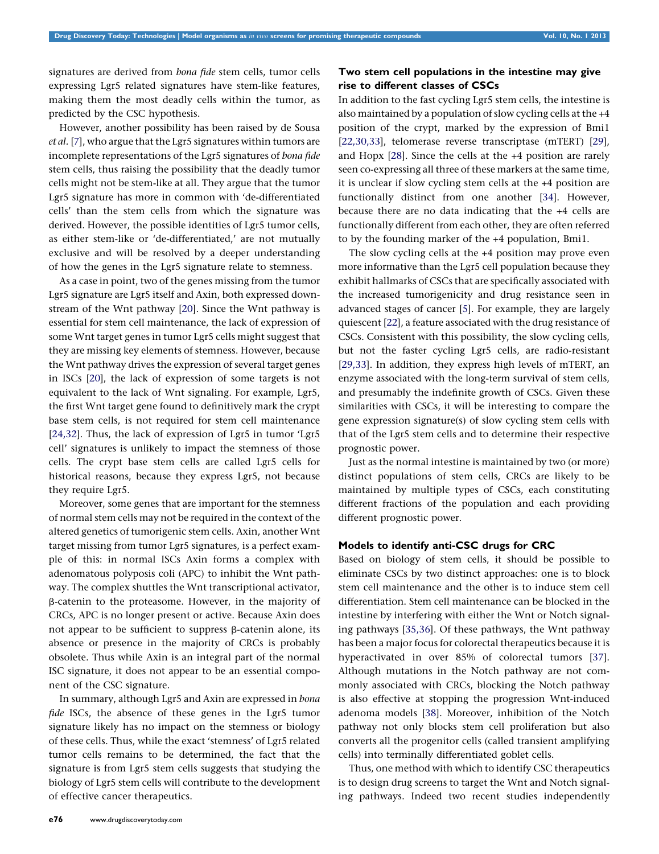signatures are derived from bona fide stem cells, tumor cells expressing Lgr5 related signatures have stem-like features, making them the most deadly cells within the tumor, as predicted by the CSC hypothesis.

However, another possibility has been raised by de Sousa et al. [[7\]](#page-7-0), who argue that the Lgr5 signatures within tumors are incomplete representations of the Lgr5 signatures of bona fide stem cells, thus raising the possibility that the deadly tumor cells might not be stem-like at all. They argue that the tumor Lgr5 signature has more in common with 'de-differentiated cells' than the stem cells from which the signature was derived. However, the possible identities of Lgr5 tumor cells, as either stem-like or 'de-differentiated,' are not mutually exclusive and will be resolved by a deeper understanding of how the genes in the Lgr5 signature relate to stemness.

As a case in point, two of the genes missing from the tumor Lgr5 signature are Lgr5 itself and Axin, both expressed downstream of the Wnt pathway [\[20](#page-7-0)]. Since the Wnt pathway is essential for stem cell maintenance, the lack of expression of some Wnt target genes in tumor Lgr5 cells might suggest that they are missing key elements of stemness. However, because the Wnt pathway drives the expression of several target genes in ISCs [\[20](#page-7-0)], the lack of expression of some targets is not equivalent to the lack of Wnt signaling. For example, Lgr5, the first Wnt target gene found to definitively mark the crypt base stem cells, is not required for stem cell maintenance [\[24,32](#page-7-0)]. Thus, the lack of expression of Lgr5 in tumor 'Lgr5 cell' signatures is unlikely to impact the stemness of those cells. The crypt base stem cells are called Lgr5 cells for historical reasons, because they express Lgr5, not because they require Lgr5.

Moreover, some genes that are important for the stemness of normal stem cells may not be required in the context of the altered genetics of tumorigenic stem cells. Axin, another Wnt target missing from tumor Lgr5 signatures, is a perfect example of this: in normal ISCs Axin forms a complex with adenomatous polyposis coli (APC) to inhibit the Wnt pathway. The complex shuttles the Wnt transcriptional activator, b-catenin to the proteasome. However, in the majority of CRCs, APC is no longer present or active. Because Axin does not appear to be sufficient to suppress  $\beta$ -catenin alone, its absence or presence in the majority of CRCs is probably obsolete. Thus while Axin is an integral part of the normal ISC signature, it does not appear to be an essential component of the CSC signature.

In summary, although Lgr5 and Axin are expressed in bona fide ISCs, the absence of these genes in the Lgr5 tumor signature likely has no impact on the stemness or biology of these cells. Thus, while the exact 'stemness' of Lgr5 related tumor cells remains to be determined, the fact that the signature is from Lgr5 stem cells suggests that studying the biology of Lgr5 stem cells will contribute to the development of effective cancer therapeutics.

# Two stem cell populations in the intestine may give rise to different classes of CSCs

In addition to the fast cycling Lgr5 stem cells, the intestine is also maintained by a population of slow cycling cells at the +4 position of the crypt, marked by the expression of Bmi1 [[22,30,33\]](#page-7-0), telomerase reverse transcriptase (mTERT) [\[29](#page-7-0)], and Hopx [\[28\]](#page-7-0). Since the cells at the +4 position are rarely seen co-expressing all three of these markers at the same time, it is unclear if slow cycling stem cells at the +4 position are functionally distinct from one another [[34\]](#page-7-0). However, because there are no data indicating that the +4 cells are functionally different from each other, they are often referred to by the founding marker of the +4 population, Bmi1.

The slow cycling cells at the +4 position may prove even more informative than the Lgr5 cell population because they exhibit hallmarks of CSCs that are specifically associated with the increased tumorigenicity and drug resistance seen in advanced stages of cancer [[5](#page-7-0)]. For example, they are largely quiescent [\[22\]](#page-7-0), a feature associated with the drug resistance of CSCs. Consistent with this possibility, the slow cycling cells, but not the faster cycling Lgr5 cells, are radio-resistant [[29,33\]](#page-7-0). In addition, they express high levels of mTERT, an enzyme associated with the long-term survival of stem cells, and presumably the indefinite growth of CSCs. Given these similarities with CSCs, it will be interesting to compare the gene expression signature(s) of slow cycling stem cells with that of the Lgr5 stem cells and to determine their respective prognostic power.

Just as the normal intestine is maintained by two (or more) distinct populations of stem cells, CRCs are likely to be maintained by multiple types of CSCs, each constituting different fractions of the population and each providing different prognostic power.

## Models to identify anti-CSC drugs for CRC

Based on biology of stem cells, it should be possible to eliminate CSCs by two distinct approaches: one is to block stem cell maintenance and the other is to induce stem cell differentiation. Stem cell maintenance can be blocked in the intestine by interfering with either the Wnt or Notch signaling pathways [[35,36](#page-7-0)]. Of these pathways, the Wnt pathway has been a major focus for colorectal therapeutics because it is hyperactivated in over 85% of colorectal tumors [\[37](#page-7-0)]. Although mutations in the Notch pathway are not commonly associated with CRCs, blocking the Notch pathway is also effective at stopping the progression Wnt-induced adenoma models [\[38\]](#page-7-0). Moreover, inhibition of the Notch pathway not only blocks stem cell proliferation but also converts all the progenitor cells (called transient amplifying cells) into terminally differentiated goblet cells.

Thus, one method with which to identify CSC therapeutics is to design drug screens to target the Wnt and Notch signaling pathways. Indeed two recent studies independently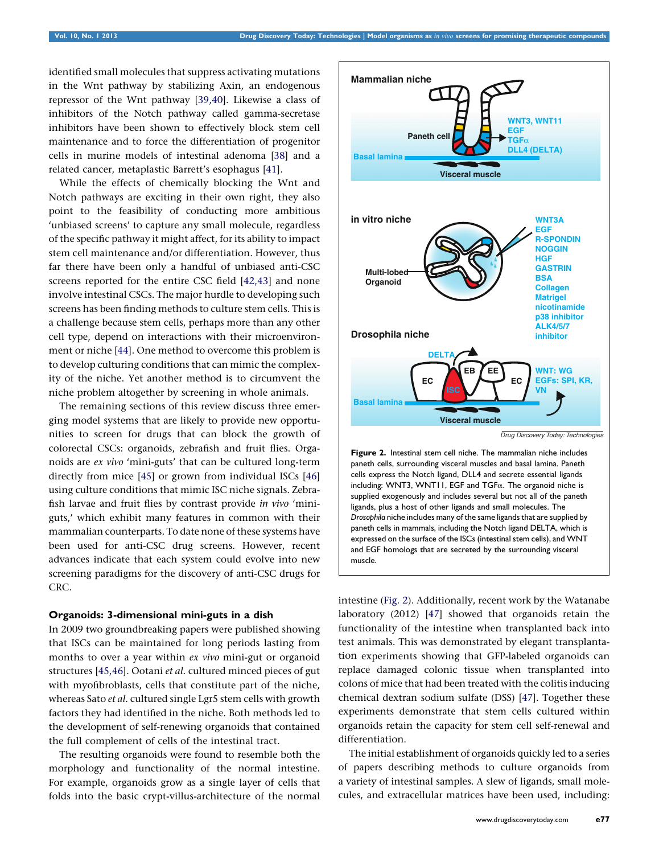<span id="page-4-0"></span>identified small molecules that suppress activating mutations in the Wnt pathway by stabilizing Axin, an endogenous repressor of the Wnt pathway [\[39,40](#page-7-0)]. Likewise a class of inhibitors of the Notch pathway called gamma-secretase inhibitors have been shown to effectively block stem cell maintenance and to force the differentiation of progenitor cells in murine models of intestinal adenoma [[38](#page-7-0)] and a related cancer, metaplastic Barrett's esophagus [\[41](#page-7-0)].

While the effects of chemically blocking the Wnt and Notch pathways are exciting in their own right, they also point to the feasibility of conducting more ambitious 'unbiased screens' to capture any small molecule, regardless of the specific pathway it might affect, for its ability to impact stem cell maintenance and/or differentiation. However, thus far there have been only a handful of unbiased anti-CSC screens reported for the entire CSC field [\[42,43\]](#page-7-0) and none involve intestinal CSCs. The major hurdle to developing such screens has been finding methods to culture stem cells. This is a challenge because stem cells, perhaps more than any other cell type, depend on interactions with their microenvironment or niche [\[44\]](#page-7-0). One method to overcome this problem is to develop culturing conditions that can mimic the complexity of the niche. Yet another method is to circumvent the niche problem altogether by screening in whole animals.

The remaining sections of this review discuss three emerging model systems that are likely to provide new opportunities to screen for drugs that can block the growth of colorectal CSCs: organoids, zebrafish and fruit flies. Organoids are ex vivo 'mini-guts' that can be cultured long-term directly from mice [[45](#page-7-0)] or grown from individual ISCs [\[46\]](#page-7-0) using culture conditions that mimic ISC niche signals. Zebrafish larvae and fruit flies by contrast provide in vivo 'miniguts,' which exhibit many features in common with their mammalian counterparts. To date none of these systems have been used for anti-CSC drug screens. However, recent advances indicate that each system could evolve into new screening paradigms for the discovery of anti-CSC drugs for CRC.

#### Organoids: 3-dimensional mini-guts in a dish

In 2009 two groundbreaking papers were published showing that ISCs can be maintained for long periods lasting from months to over a year within ex vivo mini-gut or organoid structures [\[45,46\]](#page-7-0). Ootani et al. cultured minced pieces of gut with myofibroblasts, cells that constitute part of the niche, whereas Sato *et al.* cultured single Lgr5 stem cells with growth factors they had identified in the niche. Both methods led to the development of self-renewing organoids that contained the full complement of cells of the intestinal tract.

The resulting organoids were found to resemble both the morphology and functionality of the normal intestine. For example, organoids grow as a single layer of cells that folds into the basic crypt-villus-architecture of the normal



paneth cells, surrounding visceral muscles and basal lamina. Paneth cells express the Notch ligand, DLL4 and secrete essential ligands including: WNT3, WNT11, EGF and TGFa. The organoid niche is supplied exogenously and includes several but not all of the paneth ligands, plus a host of other ligands and small molecules. The Drosophila niche includes many of the same ligands that are supplied by paneth cells in mammals, including the Notch ligand DELTA, which is expressed on the surface of the ISCs (intestinal stem cells), and WNT and EGF homologs that are secreted by the surrounding visceral muscle.

intestine (Fig. 2). Additionally, recent work by the Watanabe laboratory (2012) [\[47\]](#page-7-0) showed that organoids retain the functionality of the intestine when transplanted back into test animals. This was demonstrated by elegant transplantation experiments showing that GFP-labeled organoids can replace damaged colonic tissue when transplanted into colons of mice that had been treated with the colitis inducing chemical dextran sodium sulfate (DSS) [\[47](#page-7-0)]. Together these experiments demonstrate that stem cells cultured within organoids retain the capacity for stem cell self-renewal and differentiation.

The initial establishment of organoids quickly led to a series of papers describing methods to culture organoids from a variety of intestinal samples. A slew of ligands, small molecules, and extracellular matrices have been used, including: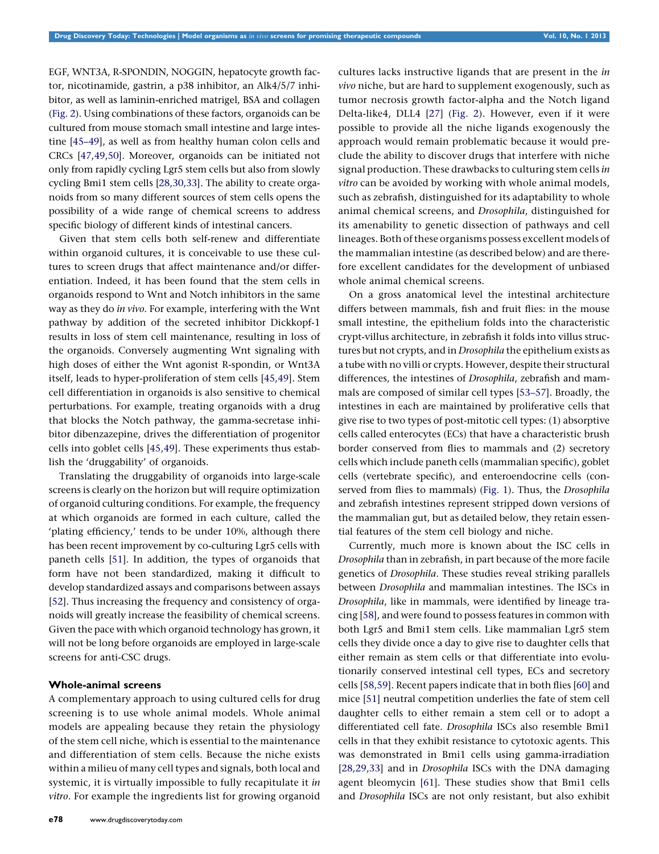EGF, WNT3A, R-SPONDIN, NOGGIN, hepatocyte growth factor, nicotinamide, gastrin, a p38 inhibitor, an Alk4/5/7 inhibitor, as well as laminin-enriched matrigel, BSA and collagen [\(Fig.](#page-4-0) 2). Using combinations of these factors, organoids can be cultured from mouse stomach small intestine and large intestine [[45–49](#page-7-0)], as well as from healthy human colon cells and CRCs [[47,49,50](#page-7-0)]. Moreover, organoids can be initiated not only from rapidly cycling Lgr5 stem cells but also from slowly cycling Bmi1 stem cells [[28,30,33](#page-7-0)]. The ability to create organoids from so many different sources of stem cells opens the possibility of a wide range of chemical screens to address specific biology of different kinds of intestinal cancers.

Given that stem cells both self-renew and differentiate within organoid cultures, it is conceivable to use these cultures to screen drugs that affect maintenance and/or differentiation. Indeed, it has been found that the stem cells in organoids respond to Wnt and Notch inhibitors in the same way as they do in vivo. For example, interfering with the Wnt pathway by addition of the secreted inhibitor Dickkopf-1 results in loss of stem cell maintenance, resulting in loss of the organoids. Conversely augmenting Wnt signaling with high doses of either the Wnt agonist R-spondin, or Wnt3A itself, leads to hyper-proliferation of stem cells [\[45,49\]](#page-7-0). Stem cell differentiation in organoids is also sensitive to chemical perturbations. For example, treating organoids with a drug that blocks the Notch pathway, the gamma-secretase inhibitor dibenzazepine, drives the differentiation of progenitor cells into goblet cells [\[45,49](#page-7-0)]. These experiments thus establish the 'druggability' of organoids.

Translating the druggability of organoids into large-scale screens is clearly on the horizon but will require optimization of organoid culturing conditions. For example, the frequency at which organoids are formed in each culture, called the 'plating efficiency,' tends to be under 10%, although there has been recent improvement by co-culturing Lgr5 cells with paneth cells [\[51](#page-7-0)]. In addition, the types of organoids that form have not been standardized, making it difficult to develop standardized assays and comparisons between assays [\[52\]](#page-7-0). Thus increasing the frequency and consistency of organoids will greatly increase the feasibility of chemical screens. Given the pace with which organoid technology has grown, it will not be long before organoids are employed in large-scale screens for anti-CSC drugs.

#### Whole-animal screens

A complementary approach to using cultured cells for drug screening is to use whole animal models. Whole animal models are appealing because they retain the physiology of the stem cell niche, which is essential to the maintenance and differentiation of stem cells. Because the niche exists within a milieu of many cell types and signals, both local and systemic, it is virtually impossible to fully recapitulate it in vitro. For example the ingredients list for growing organoid cultures lacks instructive ligands that are present in the in vivo niche, but are hard to supplement exogenously, such as tumor necrosis growth factor-alpha and the Notch ligand Delta-like4, DLL4 [[27](#page-7-0)] [\(Fig.](#page-4-0) 2). However, even if it were possible to provide all the niche ligands exogenously the approach would remain problematic because it would preclude the ability to discover drugs that interfere with niche signal production. These drawbacks to culturing stem cells in vitro can be avoided by working with whole animal models, such as zebrafish, distinguished for its adaptability to whole animal chemical screens, and Drosophila, distinguished for its amenability to genetic dissection of pathways and cell lineages. Both of these organisms possess excellent models of the mammalian intestine (as described below) and are therefore excellent candidates for the development of unbiased whole animal chemical screens.

On a gross anatomical level the intestinal architecture differs between mammals, fish and fruit flies: in the mouse small intestine, the epithelium folds into the characteristic crypt-villus architecture, in zebrafish it folds into villus structures but not crypts, and in Drosophila the epithelium exists as a tube with no villi or crypts. However, despite their structural differences, the intestines of Drosophila, zebrafish and mammals are composed of similar cell types [[53–57\]](#page-7-0). Broadly, the intestines in each are maintained by proliferative cells that give rise to two types of post-mitotic cell types: (1) absorptive cells called enterocytes (ECs) that have a characteristic brush border conserved from flies to mammals and (2) secretory cells which include paneth cells (mammalian specific), goblet cells (vertebrate specific), and enteroendocrine cells (con-served from flies to mammals) [\(Fig.](#page-2-0) 1). Thus, the Drosophila and zebrafish intestines represent stripped down versions of the mammalian gut, but as detailed below, they retain essential features of the stem cell biology and niche.

Currently, much more is known about the ISC cells in Drosophila than in zebrafish, in part because of the more facile genetics of Drosophila. These studies reveal striking parallels between Drosophila and mammalian intestines. The ISCs in Drosophila, like in mammals, were identified by lineage tracing [\[58\]](#page-8-0), and were found to possess features in common with both Lgr5 and Bmi1 stem cells. Like mammalian Lgr5 stem cells they divide once a day to give rise to daughter cells that either remain as stem cells or that differentiate into evolutionarily conserved intestinal cell types, ECs and secretory cells [[58,59\]](#page-8-0). Recent papers indicate that in both flies [[60](#page-8-0)] and mice [\[51\]](#page-7-0) neutral competition underlies the fate of stem cell daughter cells to either remain a stem cell or to adopt a differentiated cell fate. Drosophila ISCs also resemble Bmi1 cells in that they exhibit resistance to cytotoxic agents. This was demonstrated in Bmi1 cells using gamma-irradiation [[28,29,33\]](#page-7-0) and in *Drosophila* ISCs with the DNA damaging agent bleomycin [[61\]](#page-8-0). These studies show that Bmi1 cells and Drosophila ISCs are not only resistant, but also exhibit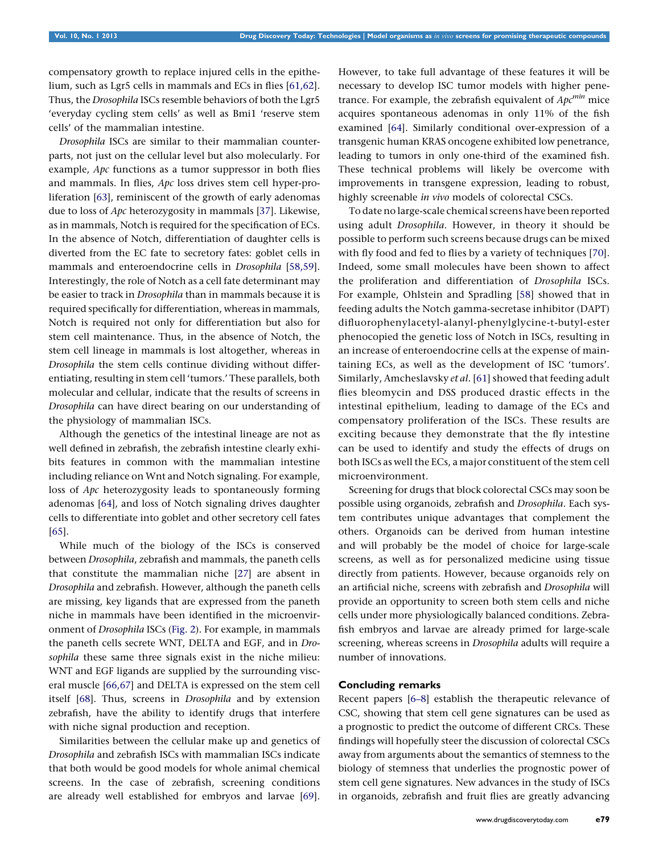compensatory growth to replace injured cells in the epithelium, such as Lgr5 cells in mammals and ECs in flies [[61,62](#page-8-0)]. Thus, the Drosophila ISCs resemble behaviors of both the Lgr5 'everyday cycling stem cells' as well as Bmi1 'reserve stem cells' of the mammalian intestine.

Drosophila ISCs are similar to their mammalian counterparts, not just on the cellular level but also molecularly. For example, Apc functions as a tumor suppressor in both flies and mammals. In flies, Apc loss drives stem cell hyper-proliferation [[63\]](#page-8-0), reminiscent of the growth of early adenomas due to loss of Apc heterozygosity in mammals [\[37\]](#page-7-0). Likewise, as in mammals, Notch is required for the specification of ECs. In the absence of Notch, differentiation of daughter cells is diverted from the EC fate to secretory fates: goblet cells in mammals and enteroendocrine cells in Drosophila [[58,59](#page-8-0)]. Interestingly, the role of Notch as a cell fate determinant may be easier to track in Drosophila than in mammals because it is required specifically for differentiation, whereas in mammals, Notch is required not only for differentiation but also for stem cell maintenance. Thus, in the absence of Notch, the stem cell lineage in mammals is lost altogether, whereas in Drosophila the stem cells continue dividing without differentiating, resulting in stem cell 'tumors.' These parallels, both molecular and cellular, indicate that the results of screens in Drosophila can have direct bearing on our understanding of the physiology of mammalian ISCs.

Although the genetics of the intestinal lineage are not as well defined in zebrafish, the zebrafish intestine clearly exhibits features in common with the mammalian intestine including reliance on Wnt and Notch signaling. For example, loss of Apc heterozygosity leads to spontaneously forming adenomas [[64](#page-8-0)], and loss of Notch signaling drives daughter cells to differentiate into goblet and other secretory cell fates [\[65\]](#page-8-0).

While much of the biology of the ISCs is conserved between Drosophila, zebrafish and mammals, the paneth cells that constitute the mammalian niche [[27](#page-7-0)] are absent in Drosophila and zebrafish. However, although the paneth cells are missing, key ligands that are expressed from the paneth niche in mammals have been identified in the microenvironment of Drosophila ISCs ([Fig.](#page-4-0) 2). For example, in mammals the paneth cells secrete WNT, DELTA and EGF, and in Drosophila these same three signals exist in the niche milieu: WNT and EGF ligands are supplied by the surrounding visceral muscle [[66,67\]](#page-8-0) and DELTA is expressed on the stem cell itself [[68](#page-8-0)]. Thus, screens in Drosophila and by extension zebrafish, have the ability to identify drugs that interfere with niche signal production and reception.

Similarities between the cellular make up and genetics of Drosophila and zebrafish ISCs with mammalian ISCs indicate that both would be good models for whole animal chemical screens. In the case of zebrafish, screening conditions are already well established for embryos and larvae [[69](#page-8-0)].

However, to take full advantage of these features it will be necessary to develop ISC tumor models with higher penetrance. For example, the zebrafish equivalent of  $Apc^{min}$  mice acquires spontaneous adenomas in only 11% of the fish examined [[64\]](#page-8-0). Similarly conditional over-expression of a transgenic human KRAS oncogene exhibited low penetrance, leading to tumors in only one-third of the examined fish. These technical problems will likely be overcome with improvements in transgene expression, leading to robust, highly screenable in vivo models of colorectal CSCs.

To date no large-scale chemical screens have been reported using adult Drosophila. However, in theory it should be possible to perform such screens because drugs can be mixed with fly food and fed to flies by a variety of techniques [[70](#page-8-0)]. Indeed, some small molecules have been shown to affect the proliferation and differentiation of Drosophila ISCs. For example, Ohlstein and Spradling [\[58\]](#page-8-0) showed that in feeding adults the Notch gamma-secretase inhibitor (DAPT) difluorophenylacetyl-alanyl-phenylglycine-t-butyl-ester phenocopied the genetic loss of Notch in ISCs, resulting in an increase of enteroendocrine cells at the expense of maintaining ECs, as well as the development of ISC 'tumors'. Similarly, Amcheslavsky et al. [[61](#page-8-0)] showed that feeding adult flies bleomycin and DSS produced drastic effects in the intestinal epithelium, leading to damage of the ECs and compensatory proliferation of the ISCs. These results are exciting because they demonstrate that the fly intestine can be used to identify and study the effects of drugs on both ISCs as well the ECs, a major constituent of the stem cell microenvironment.

Screening for drugs that block colorectal CSCs may soon be possible using organoids, zebrafish and Drosophila. Each system contributes unique advantages that complement the others. Organoids can be derived from human intestine and will probably be the model of choice for large-scale screens, as well as for personalized medicine using tissue directly from patients. However, because organoids rely on an artificial niche, screens with zebrafish and Drosophila will provide an opportunity to screen both stem cells and niche cells under more physiologically balanced conditions. Zebrafish embryos and larvae are already primed for large-scale screening, whereas screens in Drosophila adults will require a number of innovations.

## Concluding remarks

Recent papers [[6–8](#page-7-0)] establish the therapeutic relevance of CSC, showing that stem cell gene signatures can be used as a prognostic to predict the outcome of different CRCs. These findings will hopefully steer the discussion of colorectal CSCs away from arguments about the semantics of stemness to the biology of stemness that underlies the prognostic power of stem cell gene signatures. New advances in the study of ISCs in organoids, zebrafish and fruit flies are greatly advancing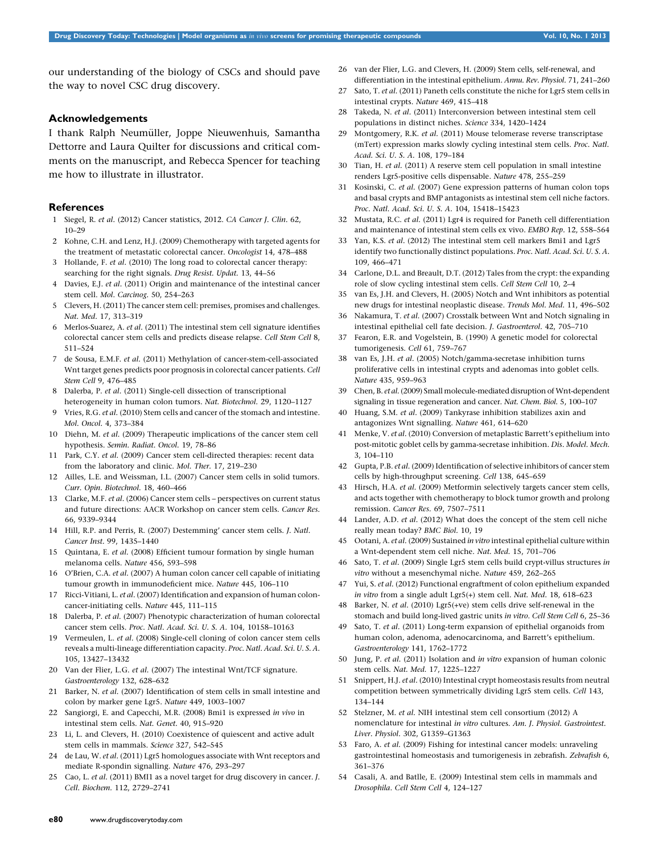<span id="page-7-0"></span>our understanding of the biology of CSCs and should pave the way to novel CSC drug discovery.

#### Acknowledgements

I thank Ralph Neumüller, Joppe Nieuwenhuis, Samantha Dettorre and Laura Quilter for discussions and critical comments on the manuscript, and Rebecca Spencer for teaching me how to illustrate in illustrator.

#### **References**

- 1 Siegel, R. et al. (2012) Cancer statistics, 2012. CA Cancer J. Clin. 62, 10–29
- 2 Kohne, C.H. and Lenz, H.J. (2009) Chemotherapy with targeted agents for the treatment of metastatic colorectal cancer. Oncologist 14, 478–488
- 3 Hollande, F. et al. (2010) The long road to colorectal cancer therapy: searching for the right signals. Drug Resist. Updat. 13, 44–56
- 4 Davies, E.J. et al. (2011) Origin and maintenance of the intestinal cancer stem cell. Mol. Carcinog. 50, 254–263
- 5 Clevers, H. (2011) The cancer stem cell: premises, promises and challenges. Nat. Med. 17, 313–319
- 6 Merlos-Suarez, A. et al. (2011) The intestinal stem cell signature identifies colorectal cancer stem cells and predicts disease relapse. Cell Stem Cell 8, 511–524
- 7 de Sousa, E.M.F. et al. (2011) Methylation of cancer-stem-cell-associated Wnt target genes predicts poor prognosis in colorectal cancer patients. Cell Stem Cell 9, 476–485
- 8 Dalerba, P. et al. (2011) Single-cell dissection of transcriptional heterogeneity in human colon tumors. Nat. Biotechnol. 29, 1120–1127
- 9 Vries, R.G. et al. (2010) Stem cells and cancer of the stomach and intestine. Mol. Oncol. 4, 373–384
- 10 Diehn, M. et al. (2009) Therapeutic implications of the cancer stem cell hypothesis. Semin. Radiat. Oncol. 19, 78–86
- 11 Park, C.Y. et al. (2009) Cancer stem cell-directed therapies: recent data from the laboratory and clinic. Mol. Ther. 17, 219–230
- 12 Ailles, L.E. and Weissman, I.L. (2007) Cancer stem cells in solid tumors. Curr. Opin. Biotechnol. 18, 460–466
- 13 Clarke, M.F. et al. (2006) Cancer stem cells perspectives on current status and future directions: AACR Workshop on cancer stem cells. Cancer Res. 66, 9339–9344
- 14 Hill, R.P. and Perris, R. (2007) Destemming' cancer stem cells. J. Natl. Cancer Inst. 99, 1435–1440
- 15 Quintana, E. et al. (2008) Efficient tumour formation by single human melanoma cells. Nature 456, 593–598
- 16 O'Brien, C.A. et al. (2007) A human colon cancer cell capable of initiating tumour growth in immunodeficient mice. Nature 445, 106–110
- 17 Ricci-Vitiani, L. et al. (2007) Identification and expansion of human coloncancer-initiating cells. Nature 445, 111–115
- 18 Dalerba, P. et al. (2007) Phenotypic characterization of human colorectal cancer stem cells. Proc. Natl. Acad. Sci. U. S. A. 104, 10158–10163
- 19 Vermeulen, L. et al. (2008) Single-cell cloning of colon cancer stem cells reveals a multi-lineage differentiation capacity. Proc. Natl. Acad. Sci. U. S. A. 105, 13427–13432
- 20 Van der Flier, L.G. et al. (2007) The intestinal Wnt/TCF signature. Gastroenterology 132, 628–632
- 21 Barker, N. et al. (2007) Identification of stem cells in small intestine and colon by marker gene Lgr5. Nature 449, 1003–1007
- 22 Sangiorgi, E. and Capecchi, M.R. (2008) Bmi1 is expressed in vivo in intestinal stem cells. Nat. Genet. 40, 915–920
- 23 Li, L. and Clevers, H. (2010) Coexistence of quiescent and active adult stem cells in mammals. Science 327, 542–545
- 24 de Lau, W. et al. (2011) Lgr5 homologues associate with Wnt receptors and mediate R-spondin signalling. Nature 476, 293–297
- 25 Cao, L. et al. (2011) BMI1 as a novel target for drug discovery in cancer. J. Cell. Biochem. 112, 2729–2741
- 26 van der Flier, L.G. and Clevers, H. (2009) Stem cells, self-renewal, and differentiation in the intestinal epithelium. Annu. Rev. Physiol. 71, 241–260
- 27 Sato, T. et al. (2011) Paneth cells constitute the niche for Lgr5 stem cells in intestinal crypts. Nature 469, 415–418
- 28 Takeda, N. et al. (2011) Interconversion between intestinal stem cell populations in distinct niches. Science 334, 1420–1424
- 29 Montgomery, R.K. et al. (2011) Mouse telomerase reverse transcriptase (mTert) expression marks slowly cycling intestinal stem cells. Proc. Natl. Acad. Sci. U. S. A. 108, 179–184
- 30 Tian, H. et al. (2011) A reserve stem cell population in small intestine renders Lgr5-positive cells dispensable. Nature 478, 255–259
- 31 Kosinski, C. et al. (2007) Gene expression patterns of human colon tops and basal crypts and BMP antagonists as intestinal stem cell niche factors. Proc. Natl. Acad. Sci. U. S. A. 104, 15418–15423
- 32 Mustata, R.C. et al. (2011) Lgr4 is required for Paneth cell differentiation and maintenance of intestinal stem cells ex vivo. EMBO Rep. 12, 558–564
- 33 Yan, K.S. et al. (2012) The intestinal stem cell markers Bmi1 and Lgr5 identify two functionally distinct populations. Proc. Natl. Acad. Sci. U. S. A. 109, 466–471
- 34 Carlone, D.L. and Breault, D.T. (2012) Tales from the crypt: the expanding role of slow cycling intestinal stem cells. Cell Stem Cell 10, 2–4
- 35 van Es, J.H. and Clevers, H. (2005) Notch and Wnt inhibitors as potential new drugs for intestinal neoplastic disease. Trends Mol. Med. 11, 496–502
- 36 Nakamura, T. et al. (2007) Crosstalk between Wnt and Notch signaling in intestinal epithelial cell fate decision. J. Gastroenterol. 42, 705–710
- 37 Fearon, E.R. and Vogelstein, B. (1990) A genetic model for colorectal tumorigenesis. Cell 61, 759–767
- 38 van Es, J.H. et al. (2005) Notch/gamma-secretase inhibition turns proliferative cells in intestinal crypts and adenomas into goblet cells. Nature 435, 959–963
- 39 Chen, B. et al.(2009) Small molecule-mediated disruption of Wnt-dependent signaling in tissue regeneration and cancer. Nat. Chem. Biol. 5, 100–107
- 40 Huang, S.M. et al. (2009) Tankyrase inhibition stabilizes axin and antagonizes Wnt signalling. Nature 461, 614–620
- 41 Menke, V. et al. (2010) Conversion of metaplastic Barrett's epithelium into post-mitotic goblet cells by gamma-secretase inhibition. Dis. Model. Mech. 3, 104–110
- 42 Gupta, P.B. et al. (2009) Identification of selective inhibitors of cancer stem cells by high-throughput screening. Cell 138, 645–659
- 43 Hirsch, H.A. et al. (2009) Metformin selectively targets cancer stem cells, and acts together with chemotherapy to block tumor growth and prolong remission. Cancer Res. 69, 7507–7511
- 44 Lander, A.D. et al. (2012) What does the concept of the stem cell niche really mean today? BMC Biol. 10, 19
- 45 Ootani, A. et al. (2009) Sustained in vitro intestinal epithelial culture within a Wnt-dependent stem cell niche. Nat. Med. 15, 701–706
- 46 Sato, T. et al. (2009) Single Lgr5 stem cells build crypt-villus structures in vitro without a mesenchymal niche. Nature 459, 262–265
- 47 Yui, S. et al. (2012) Functional engraftment of colon epithelium expanded in vitro from a single adult Lgr5(+) stem cell. Nat. Med. 18, 618–623
- 48 Barker, N. et al. (2010) Lgr5(+ve) stem cells drive self-renewal in the stomach and build long-lived gastric units in vitro. Cell Stem Cell 6, 25–36
- 49 Sato, T. et al. (2011) Long-term expansion of epithelial organoids from human colon, adenoma, adenocarcinoma, and Barrett's epithelium. Gastroenterology 141, 1762–1772
- 50 Jung, P. et al. (2011) Isolation and in vitro expansion of human colonic stem cells. Nat. Med. 17, 1225–1227
- 51 Snippert, H.J. et al. (2010) Intestinal crypt homeostasis results from neutral competition between symmetrically dividing Lgr5 stem cells. Cell 143, 134–144
- 52 Stelzner, M. et al. NIH intestinal stem cell consortium (2012) A nomenclature for intestinal in vitro cultures. Am. J. Physiol. Gastrointest. Liver. Physiol. 302, G1359–G1363
- 53 Faro, A. et al. (2009) Fishing for intestinal cancer models: unraveling gastrointestinal homeostasis and tumorigenesis in zebrafish. Zebrafish 6, 361–376
- 54 Casali, A. and Batlle, E. (2009) Intestinal stem cells in mammals and Drosophila. Cell Stem Cell 4, 124–127